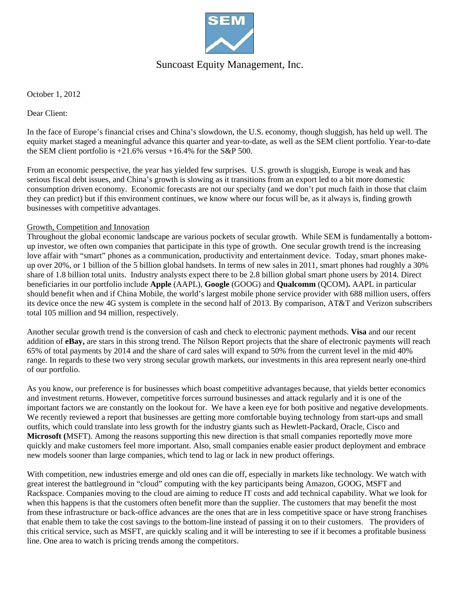

## Suncoast Equity Management, Inc.

October 1, 2012

Dear Client:

In the face of Europe's financial crises and China's slowdown, the U.S. economy, though sluggish, has held up well. The equity market staged a meaningful advance this quarter and year-to-date, as well as the SEM client portfolio. Year-to-date the SEM client portfolio is  $+21.6\%$  versus  $+16.4\%$  for the S&P 500.

From an economic perspective, the year has yielded few surprises. U.S. growth is sluggish, Europe is weak and has serious fiscal debt issues, and China's growth is slowing as it transitions from an export led to a bit more domestic consumption driven economy. Economic forecasts are not our specialty (and we don't put much faith in those that claim they can predict) but if this environment continues, we know where our focus will be, as it always is, finding growth businesses with competitive advantages.

#### Growth, Competition and Innovation

Throughout the global economic landscape are various pockets of secular growth. While SEM is fundamentally a bottomup investor, we often own companies that participate in this type of growth. One secular growth trend is the increasing love affair with "smart" phones as a communication, productivity and entertainment device. Today, smart phones makeup over 20%, or 1 billion of the 5 billion global handsets. In terms of new sales in 2011, smart phones had roughly a 30% share of 1.8 billion total units. Industry analysts expect there to be 2.8 billion global smart phone users by 2014. Direct beneficiaries in our portfolio include **Apple** (AAPL), **Google** (GOOG) and **Qualcomm** (QCOM)**.** AAPL in particular should benefit when and if China Mobile, the world's largest mobile phone service provider with 688 million users, offers its device once the new 4G system is complete in the second half of 2013. By comparison, AT&T and Verizon subscribers total 105 million and 94 million, respectively.

Another secular growth trend is the conversion of cash and check to electronic payment methods. **Visa** and our recent addition of **eBay,** are stars in this strong trend. The Nilson Report projects that the share of electronic payments will reach 65% of total payments by 2014 and the share of card sales will expand to 50% from the current level in the mid 40% range. In regards to these two very strong secular growth markets, our investments in this area represent nearly one-third of our portfolio.

As you know, our preference is for businesses which boast competitive advantages because, that yields better economics and investment returns. However, competitive forces surround businesses and attack regularly and it is one of the important factors we are constantly on the lookout for. We have a keen eye for both positive and negative developments. We recently reviewed a report that businesses are getting more comfortable buying technology from start-ups and small outfits, which could translate into less growth for the industry giants such as Hewlett-Packard, Oracle, Cisco and **Microsoft (**MSFT). Among the reasons supporting this new direction is that small companies reportedly move more quickly and make customers feel more important. Also, small companies enable easier product deployment and embrace new models sooner than large companies, which tend to lag or lack in new product offerings.

With competition, new industries emerge and old ones can die off, especially in markets like technology. We watch with great interest the battleground in "cloud" computing with the key participants being Amazon, GOOG, MSFT and Rackspace. Companies moving to the cloud are aiming to reduce IT costs and add technical capability. What we look for when this happens is that the customers often benefit more than the supplier. The customers that may benefit the most from these infrastructure or back-office advances are the ones that are in less competitive space or have strong franchises that enable them to take the cost savings to the bottom-line instead of passing it on to their customers. The providers of this critical service, such as MSFT, are quickly scaling and it will be interesting to see if it becomes a profitable business line. One area to watch is pricing trends among the competitors.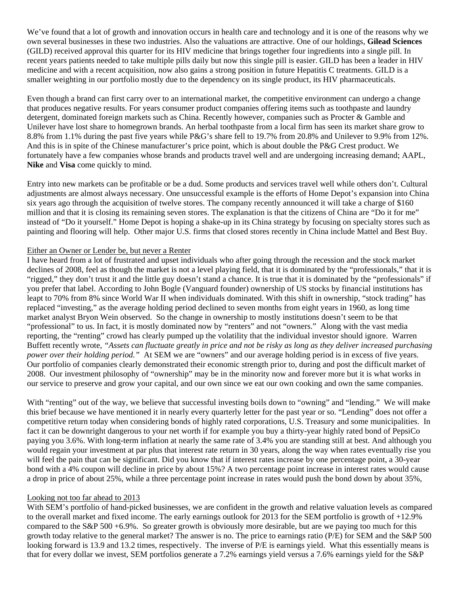We've found that a lot of growth and innovation occurs in health care and technology and it is one of the reasons why we own several businesses in these two industries. Also the valuations are attractive. One of our holdings, **Gilead Sciences**  (GILD) received approval this quarter for its HIV medicine that brings together four ingredients into a single pill. In recent years patients needed to take multiple pills daily but now this single pill is easier. GILD has been a leader in HIV medicine and with a recent acquisition, now also gains a strong position in future Hepatitis C treatments. GILD is a smaller weighting in our portfolio mostly due to the dependency on its single product, its HIV pharmaceuticals.

Even though a brand can first carry over to an international market, the competitive environment can undergo a change that produces negative results. For years consumer product companies offering items such as toothpaste and laundry detergent, dominated foreign markets such as China. Recently however, companies such as Procter & Gamble and Unilever have lost share to homegrown brands. An herbal toothpaste from a local firm has seen its market share grow to 8.8% from 1.1% during the past five years while P&G's share fell to 19.7% from 20.8% and Unilever to 9.9% from 12%. And this is in spite of the Chinese manufacturer's price point, which is about double the P&G Crest product. We fortunately have a few companies whose brands and products travel well and are undergoing increasing demand; AAPL, **Nike** and **Visa** come quickly to mind.

Entry into new markets can be profitable or be a dud. Some products and services travel well while others don't. Cultural adjustments are almost always necessary. One unsuccessful example is the efforts of Home Depot's expansion into China six years ago through the acquisition of twelve stores. The company recently announced it will take a charge of \$160 million and that it is closing its remaining seven stores. The explanation is that the citizens of China are "Do it for me" instead of "Do it yourself." Home Depot is hoping a shake-up in its China strategy by focusing on specialty stores such as painting and flooring will help. Other major U.S. firms that closed stores recently in China include Mattel and Best Buy.

#### Either an Owner or Lender be, but never a Renter

I have heard from a lot of frustrated and upset individuals who after going through the recession and the stock market declines of 2008, feel as though the market is not a level playing field, that it is dominated by the "professionals," that it is "rigged," they don't trust it and the little guy doesn't stand a chance. It is true that it is dominated by the "professionals" if you prefer that label. According to John Bogle (Vanguard founder) ownership of US stocks by financial institutions has leapt to 70% from 8% since World War II when individuals dominated. With this shift in ownership, "stock trading" has replaced "investing," as the average holding period declined to seven months from eight years in 1960, as long time market analyst Bryon Wein observed. So the change in ownership to mostly institutions doesn't seem to be that "professional" to us. In fact, it is mostly dominated now by "renters" and not "owners." Along with the vast media reporting, the "renting" crowd has clearly pumped up the volatility that the individual investor should ignore. Warren Buffett recently wrote, *"Assets can fluctuate greatly in price and not be risky as long as they deliver increased purchasing power over their holding period.*" At SEM we are "owners" and our average holding period is in excess of five years. Our portfolio of companies clearly demonstrated their economic strength prior to, during and post the difficult market of 2008. Our investment philosophy of "ownership" may be in the minority now and forever more but it is what works in our service to preserve and grow your capital, and our own since we eat our own cooking and own the same companies.

With "renting" out of the way, we believe that successful investing boils down to "owning" and "lending." We will make this brief because we have mentioned it in nearly every quarterly letter for the past year or so. "Lending" does not offer a competitive return today when considering bonds of highly rated corporations, U.S. Treasury and some municipalities. In fact it can be downright dangerous to your net worth if for example you buy a thirty-year highly rated bond of PepsiCo paying you 3.6%. With long-term inflation at nearly the same rate of 3.4% you are standing still at best. And although you would regain your investment at par plus that interest rate return in 30 years, along the way when rates eventually rise you will feel the pain that can be significant. Did you know that if interest rates increase by one percentage point, a 30-year bond with a 4% coupon will decline in price by about 15%? A two percentage point increase in interest rates would cause a drop in price of about 25%, while a three percentage point increase in rates would push the bond down by about 35%,

#### Looking not too far ahead to 2013

With SEM's portfolio of hand-picked businesses, we are confident in the growth and relative valuation levels as compared to the overall market and fixed income. The early earnings outlook for 2013 for the SEM portfolio is growth of +12.9% compared to the S&P 500 +6.9%. So greater growth is obviously more desirable, but are we paying too much for this growth today relative to the general market? The answer is no. The price to earnings ratio (P/E) for SEM and the S&P 500 looking forward is 13.9 and 13.2 times, respectively. The inverse of P/E is earnings yield. What this essentially means is that for every dollar we invest, SEM portfolios generate a 7.2% earnings yield versus a 7.6% earnings yield for the S&P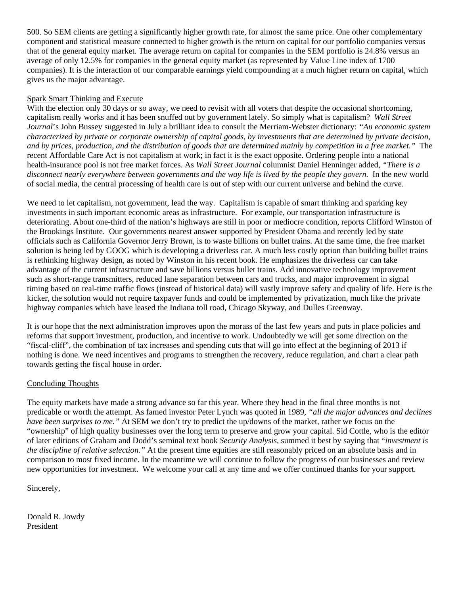500. So SEM clients are getting a significantly higher growth rate, for almost the same price. One other complementary component and statistical measure connected to higher growth is the return on capital for our portfolio companies versus that of the general equity market. The average return on capital for companies in the SEM portfolio is 24.8% versus an average of only 12.5% for companies in the general equity market (as represented by Value Line index of 1700 companies). It is the interaction of our comparable earnings yield compounding at a much higher return on capital, which gives us the major advantage.

#### Spark Smart Thinking and Execute

With the election only 30 days or so away, we need to revisit with all voters that despite the occasional shortcoming, capitalism really works and it has been snuffed out by government lately. So simply what is capitalism? *Wall Street Journal*'s John Bussey suggested in July a brilliant idea to consult the Merriam-Webster dictionary: *"An economic system characterized by private or corporate ownership of capital goods, by investments that are determined by private decision, and by prices, production, and the distribution of goods that are determined mainly by competition in a free market."* The recent Affordable Care Act is not capitalism at work; in fact it is the exact opposite. Ordering people into a national health-insurance pool is not free market forces. As *Wall Street Journal* columnist Daniel Henninger added, *"There is a*  disconnect nearly everywhere between governments and the way life is lived by the people they govern. In the new world of social media, the central processing of health care is out of step with our current universe and behind the curve.

We need to let capitalism, not government, lead the way. Capitalism is capable of smart thinking and sparking key investments in such important economic areas as infrastructure. For example, our transportation infrastructure is deteriorating. About one-third of the nation's highways are still in poor or mediocre condition, reports Clifford Winston of the Brookings Institute. Our governments nearest answer supported by President Obama and recently led by state officials such as California Governor Jerry Brown, is to waste billions on bullet trains. At the same time, the free market solution is being led by GOOG which is developing a driverless car. A much less costly option than building bullet trains is rethinking highway design, as noted by Winston in his recent book. He emphasizes the driverless car can take advantage of the current infrastructure and save billions versus bullet trains. Add innovative technology improvement such as short-range transmitters, reduced lane separation between cars and trucks, and major improvement in signal timing based on real-time traffic flows (instead of historical data) will vastly improve safety and quality of life. Here is the kicker, the solution would not require taxpayer funds and could be implemented by privatization, much like the private highway companies which have leased the Indiana toll road, Chicago Skyway, and Dulles Greenway.

It is our hope that the next administration improves upon the morass of the last few years and puts in place policies and reforms that support investment, production, and incentive to work. Undoubtedly we will get some direction on the "fiscal-cliff", the combination of tax increases and spending cuts that will go into effect at the beginning of 2013 if nothing is done. We need incentives and programs to strengthen the recovery, reduce regulation, and chart a clear path towards getting the fiscal house in order.

### Concluding Thoughts

The equity markets have made a strong advance so far this year. Where they head in the final three months is not predicable or worth the attempt. As famed investor Peter Lynch was quoted in 1989*, "all the major advances and declines have been surprises to me."* At SEM we don't try to predict the up/downs of the market, rather we focus on the "ownership" of high quality businesses over the long term to preserve and grow your capital. Sid Cottle, who is the editor of later editions of Graham and Dodd's seminal text book *Security Analysis,* summed it best by saying that "*investment is the discipline of relative selection.*" At the present time equities are still reasonably priced on an absolute basis and in comparison to most fixed income. In the meantime we will continue to follow the progress of our businesses and review new opportunities for investment. We welcome your call at any time and we offer continued thanks for your support.

Sincerely,

Donald R. Jowdy President